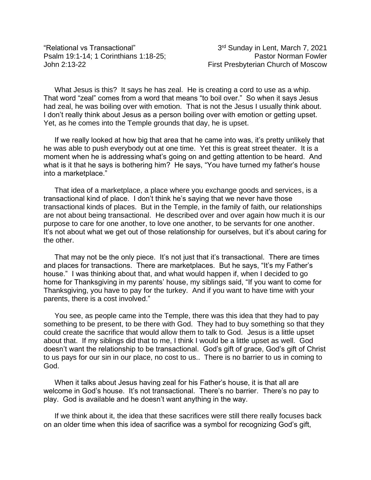"Relational vs Transactional" 3 Psalm 19:1-14; 1 Corinthians 1:18-25; Pastor Norman Fowler John 2:13-22 First Presbyterian Church of Moscow

What Jesus is this? It says he has zeal. He is creating a cord to use as a whip. That word "zeal" comes from a word that means "to boil over." So when it says Jesus had zeal, he was boiling over with emotion. That is not the Jesus I usually think about. I don't really think about Jesus as a person boiling over with emotion or getting upset. Yet, as he comes into the Temple grounds that day, he is upset.

If we really looked at how big that area that he came into was, it's pretty unlikely that he was able to push everybody out at one time. Yet this is great street theater. It is a moment when he is addressing what's going on and getting attention to be heard. And what is it that he says is bothering him? He says, "You have turned my father's house into a marketplace."

That idea of a marketplace, a place where you exchange goods and services, is a transactional kind of place. I don't think he's saying that we never have those transactional kinds of places. But in the Temple, in the family of faith, our relationships are not about being transactional. He described over and over again how much it is our purpose to care for one another, to love one another, to be servants for one another. It's not about what we get out of those relationship for ourselves, but it's about caring for the other.

That may not be the only piece. It's not just that it's transactional. There are times and places for transactions. There are marketplaces. But he says, "It's my Father's house." I was thinking about that, and what would happen if, when I decided to go home for Thanksgiving in my parents' house, my siblings said, "If you want to come for Thanksgiving, you have to pay for the turkey. And if you want to have time with your parents, there is a cost involved."

You see, as people came into the Temple, there was this idea that they had to pay something to be present, to be there with God. They had to buy something so that they could create the sacrifice that would allow them to talk to God. Jesus is a little upset about that. If my siblings did that to me, I think I would be a little upset as well. God doesn't want the relationship to be transactional. God's gift of grace, God's gift of Christ to us pays for our sin in our place, no cost to us.. There is no barrier to us in coming to God.

When it talks about Jesus having zeal for his Father's house, it is that all are welcome in God's house. It's not transactional. There's no barrier. There's no pay to play. God is available and he doesn't want anything in the way.

If we think about it, the idea that these sacrifices were still there really focuses back on an older time when this idea of sacrifice was a symbol for recognizing God's gift,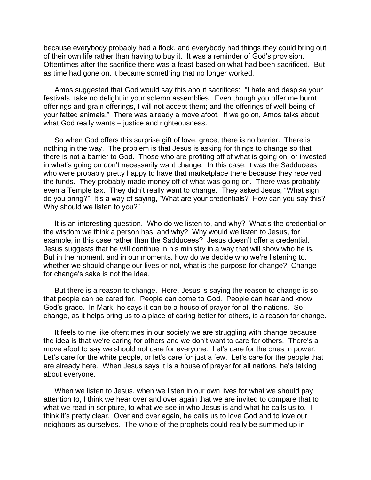because everybody probably had a flock, and everybody had things they could bring out of their own life rather than having to buy it. It was a reminder of God's provision. Oftentimes after the sacrifice there was a feast based on what had been sacrificed. But as time had gone on, it became something that no longer worked.

Amos suggested that God would say this about sacrifices: "I hate and despise your festivals, take no delight in your solemn assemblies. Even though you offer me burnt offerings and grain offerings, I will not accept them; and the offerings of well-being of your fatted animals." There was already a move afoot. If we go on, Amos talks about what God really wants – justice and righteousness.

So when God offers this surprise gift of love, grace, there is no barrier. There is nothing in the way. The problem is that Jesus is asking for things to change so that there is not a barrier to God. Those who are profiting off of what is going on, or invested in what's going on don't necessarily want change. In this case, it was the Sadducees who were probably pretty happy to have that marketplace there because they received the funds. They probably made money off of what was going on. There was probably even a Temple tax. They didn't really want to change. They asked Jesus, "What sign do you bring?" It's a way of saying, "What are your credentials? How can you say this? Why should we listen to you?"

It is an interesting question. Who do we listen to, and why? What's the credential or the wisdom we think a person has, and why? Why would we listen to Jesus, for example, in this case rather than the Sadducees? Jesus doesn't offer a credential. Jesus suggests that he will continue in his ministry in a way that will show who he is. But in the moment, and in our moments, how do we decide who we're listening to, whether we should change our lives or not, what is the purpose for change? Change for change's sake is not the idea.

But there is a reason to change. Here, Jesus is saying the reason to change is so that people can be cared for. People can come to God. People can hear and know God's grace. In Mark, he says it can be a house of prayer for all the nations. So change, as it helps bring us to a place of caring better for others, is a reason for change.

It feels to me like oftentimes in our society we are struggling with change because the idea is that we're caring for others and we don't want to care for others. There's a move afoot to say we should not care for everyone. Let's care for the ones in power. Let's care for the white people, or let's care for just a few. Let's care for the people that are already here. When Jesus says it is a house of prayer for all nations, he's talking about everyone.

When we listen to Jesus, when we listen in our own lives for what we should pay attention to, I think we hear over and over again that we are invited to compare that to what we read in scripture, to what we see in who Jesus is and what he calls us to. I think it's pretty clear. Over and over again, he calls us to love God and to love our neighbors as ourselves. The whole of the prophets could really be summed up in